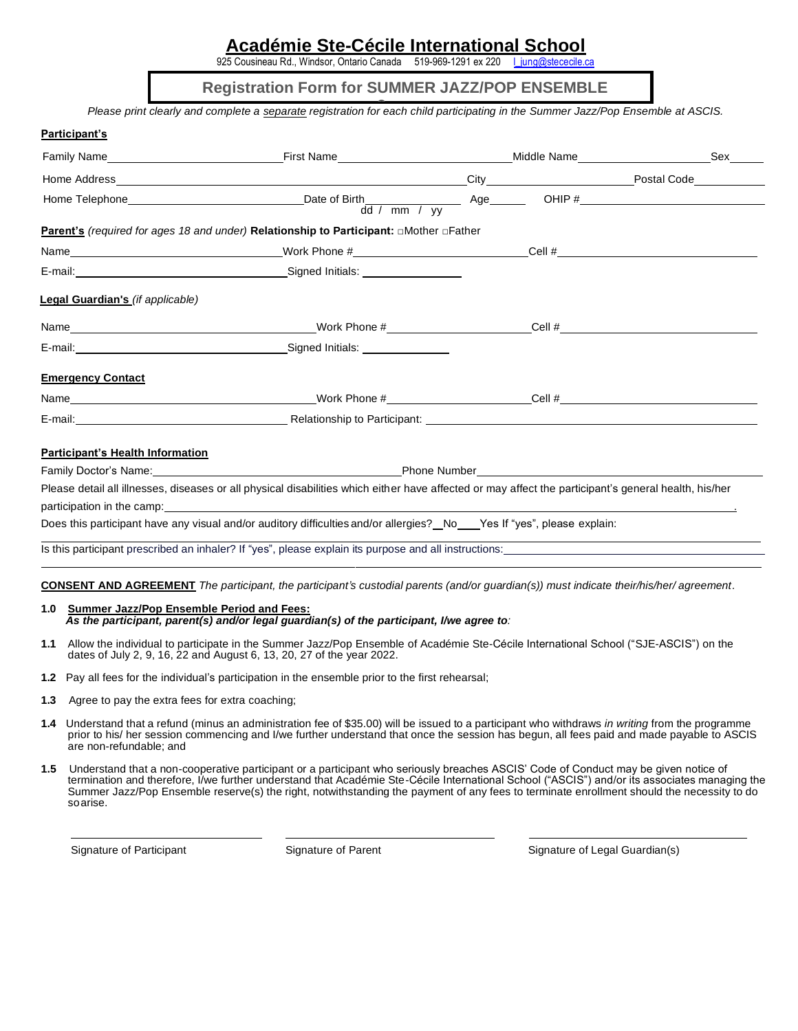# **Académie Ste-Cécile International School**

925 Cousineau Rd., Windsor, Ontario Canada 519-969-1291 ex 220

**Registration Form for SUMMER JAZZ/POP ENSEMBLE** 

*Please print clearly and complete a separate registration for each child participating in the Summer Jazz/Pop Ensemble at ASCIS.* **2**

|                                                                                                                                                                                                                                |                                                                                                                                                                                                                                |  |  | Sex |
|--------------------------------------------------------------------------------------------------------------------------------------------------------------------------------------------------------------------------------|--------------------------------------------------------------------------------------------------------------------------------------------------------------------------------------------------------------------------------|--|--|-----|
|                                                                                                                                                                                                                                |                                                                                                                                                                                                                                |  |  |     |
|                                                                                                                                                                                                                                |                                                                                                                                                                                                                                |  |  |     |
|                                                                                                                                                                                                                                |                                                                                                                                                                                                                                |  |  |     |
| <b>Parent's</b> (required for ages 18 and under) Relationship to Participant: □Mother □Father                                                                                                                                  |                                                                                                                                                                                                                                |  |  |     |
|                                                                                                                                                                                                                                |                                                                                                                                                                                                                                |  |  |     |
|                                                                                                                                                                                                                                |                                                                                                                                                                                                                                |  |  |     |
| Legal Guardian's (if applicable)                                                                                                                                                                                               |                                                                                                                                                                                                                                |  |  |     |
|                                                                                                                                                                                                                                |                                                                                                                                                                                                                                |  |  |     |
| E-mail: Contract Contract Contract Contract Contract Contract Contract Contract Contract Contract Contract Contract Contract Contract Contract Contract Contract Contract Contract Contract Contract Contract Contract Contrac |                                                                                                                                                                                                                                |  |  |     |
| <b>Emergency Contact</b>                                                                                                                                                                                                       |                                                                                                                                                                                                                                |  |  |     |
|                                                                                                                                                                                                                                |                                                                                                                                                                                                                                |  |  |     |
|                                                                                                                                                                                                                                |                                                                                                                                                                                                                                |  |  |     |
| <b>Participant's Health Information</b>                                                                                                                                                                                        |                                                                                                                                                                                                                                |  |  |     |
|                                                                                                                                                                                                                                | Family Doctor's Name: Name and Contract the Contract of the Phone Number Phone Number and Contract of the Contract of the Contract of the Contract of the Contract of the Contract of the Contract of the Contract of the Cont |  |  |     |
| Please detail all illnesses, diseases or all physical disabilities which either have affected or may affect the participant's general health, his/her                                                                          |                                                                                                                                                                                                                                |  |  |     |
|                                                                                                                                                                                                                                |                                                                                                                                                                                                                                |  |  |     |

Does this participant have any visual and/or auditory difficulties and/or allergies? No yes If "yes", please explain:

Is this participant prescribed an inhaler? If "yes", please explain its purpose and all instructions:

**CONSENT AND AGREEMENT** *The participant, the participant's custodial parents (and/or guardian(s)) must indicate their/his/her/ agreement.*

#### **1.0 Summer Jazz/Pop Ensemble Period and Fees:** *As the participant, parent(s) and/or legal guardian(s) of the participant, I/we agree to:*

- **1.1** Allow the individual to participate in the Summer Jazz/Pop Ensemble of Académie Ste-Cécile International School ("SJE-ASCIS") on the dates of July 2, 9, 16, 22 and August 6, 13, 20, 27 of the year 2022.
- **1.2** Pay all fees for the individual's participation in the ensemble prior to the first rehearsal;
- **1.3** Agree to pay the extra fees for extra coaching;
- **1.4** Understand that a refund (minus an administration fee of \$35.00) will be issued to a participant who withdraws *in writing* from the programme prior to his/ her session commencing and I/we further understand that once the session has begun, all fees paid and made payable to ASCIS are non-refundable; and
- **1.5** Understand that a non-cooperative participant or a participant who seriously breaches ASCIS' Code of Conduct may be given notice of termination and therefore, I/we further understand that Académie Ste-Cécile International School ("ASCIS") and/or its associates managing the Summer Jazz/Pop Ensemble reserve(s) the right, notwithstanding the payment of any fees to terminate enrollment should the necessity to do soarise.

Signature of Participant Signature of Parent Signature of Legal Guardian(s)